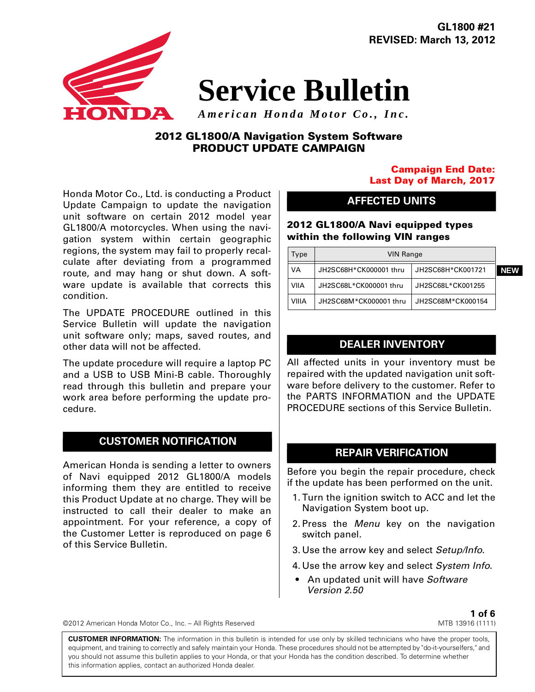INIDZN

**GL1800 #21 REVISED: March 13, 2012**

# **Service Bulletin**

*American Honda Motor Co., Inc.*

# **2012 GL1800/A Navigation System Software PRODUCT UPDATE CAMPAIGN**

Honda Motor Co., Ltd. is conducting a Product Update Campaign to update the navigation unit software on certain 2012 model year GL1800/A motorcycles. When using the navigation system within certain geographic regions, the system may fail to properly recalculate after deviating from a programmed route, and may hang or shut down. A software update is available that corrects this condition.

The UPDATE PROCEDURE outlined in this Service Bulletin will update the navigation unit software only; maps, saved routes, and other data will not be affected.

The update procedure will require a laptop PC and a USB to USB Mini-B cable. Thoroughly read through this bulletin and prepare your work area before performing the update procedure.

## **CUSTOMER NOTIFICATION**

American Honda is sending a letter to owners of Navi equipped 2012 GL1800/A models informing them they are entitled to receive this Product Update at no charge. They will be instructed to call their dealer to make an appointment. For your reference, a copy of the Customer Letter is reproduced on page 6 of this Service Bulletin.

## **Campaign End Date: Last Day of March, 2017**

## **AFFECTED UNITS**

**2012 GL1800/A Navi equipped types within the following VIN ranges**

| Type  | <b>VIN Range</b>       |                   |            |
|-------|------------------------|-------------------|------------|
| VA    | JH2SC68H*CK000001 thru | JH2SC68H*CK001721 | <b>NEW</b> |
| VIIA  | JH2SC68L*CK000001 thru | JH2SC68L*CK001255 |            |
| VIIIA | JH2SC68M*CK000001 thru | JH2SC68M*CK000154 |            |

## **DEALER INVENTORY**

All affected units in your inventory must be repaired with the updated navigation unit software before delivery to the customer. Refer to the PARTS INFORMATION and the UPDATE PROCEDURE sections of this Service Bulletin.

## **REPAIR VERIFICATION**

Before you begin the repair procedure, check if the update has been performed on the unit.

- 1.Turn the ignition switch to ACC and let the Navigation System boot up.
- 2.Press the *Menu* key on the navigation switch panel.
- 3.Use the arrow key and select *Setup/Info*.
- 4.Use the arrow key and select *System Info*.
- An updated unit will have *Software Version 2.50*

©2012 American Honda Motor Co., Inc. – All Rights Reserved

**1 of 6** MTB 13916 (1111)

**CUSTOMER INFORMATION:** The information in this bulletin is intended for use only by skilled technicians who have the proper tools, equipment, and training to correctly and safely maintain your Honda. These procedures should not be attempted by "do-it-yourselfers," and you should not assume this bulletin applies to your Honda, or that your Honda has the condition described. To determine whether this information applies, contact an authorized Honda dealer.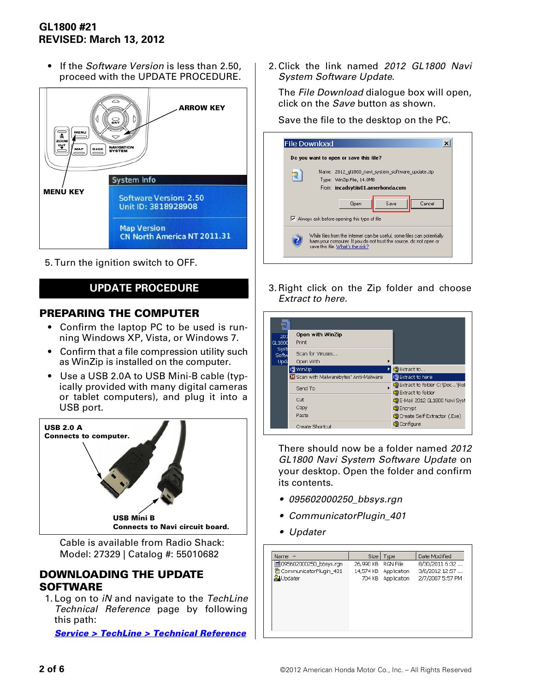# **GL1800 #21 REVISED: March 13, 2012**

• If the *Software Version* is less than 2.50, proceed with the UPDATE PROCEDURE.



5.Turn the ignition switch to OFF.

# **UPDATE PROCEDURE**

# **PREPARING THE COMPUTER**

- Confirm the laptop PC to be used is running Windows XP, Vista, or Windows 7.
- Confirm that a file compression utility such as WinZip is installed on the computer.
- Use a USB 2.0A to USB Mini-B cable (typically provided with many digital cameras or tablet computers), and plug it into a USB port.



Cable is available from Radio Shack: Model: 27329 | Catalog #: 55010682

## **DOWNLOADING THE UPDATE SOFTWARE**

1.Log on to *iN* and navigate to the *TechLine Technical Reference* page by following this path:

*[Service > TechLine > Technical Reference](http://tor.in.honda.com/Rraadctm/Content/W70E/ml.remaw70a.technical_reference.htm)*

2.Click the link named *2012 GL1800 Navi System Software Update*.

The *File Download* dialogue box will open, click on the *Save* button as shown.

Save the file to the desktop on the PC.

| Do you want to open or save this file?                                                                                                                                            |
|-----------------------------------------------------------------------------------------------------------------------------------------------------------------------------------|
| Name: 2012 gl1800 navi system software update.zip                                                                                                                                 |
| Type: WinZip File, 14.0MB                                                                                                                                                         |
| From: incadsytiis01.amerhonda.com                                                                                                                                                 |
| Cancel<br>Save<br><b>Open</b>                                                                                                                                                     |
| $\triangledown$ Always ask before opening this type of file                                                                                                                       |
| While files from the Internet can be useful, some files can potentially<br>harm your computer. If you do not trust the source, do not open or<br>save this file. What's the risk? |

3.Right click on the Zip folder and choose *Extract to here.*

| Open with WinZip<br>Print                                 |                 |                                                            |
|-----------------------------------------------------------|-----------------|------------------------------------------------------------|
| Scan for Viruses<br>Open With                             | ٠               |                                                            |
| <b>●</b> WinZip<br>M Scan with Malwarebytes' Anti-Malware |                 | 自Extract to<br><b>O</b> Extract to here                    |
| Send To                                                   |                 | C Extract to folder C:\Doc\Rob<br><b>Extract to folder</b> |
| Cut<br>Copy                                               |                 | 自E-Mail 2012 GL1800 Navi Syst<br><b>Q</b> Encrypt          |
| Paste                                                     |                 | home Self-Extractor (.Exe)<br><b>Q</b> Configure           |
|                                                           | Create Shortcut |                                                            |

There should now be a folder named *2012 GL1800 Navi System Software Update* on your desktop. Open the folder and confirm its contents.

- *095602000250\_bbsys.rgn*
- *CommunicatorPlugin\_401*
- *Updater*

| Name<br><b>A</b>         | Size      | Type               | Date Modified    |
|--------------------------|-----------|--------------------|------------------|
| 國 095602000250_bbsys.rqn | 26,990 KB | RGN File           | 8/30/2011 6:32   |
| CommunicatorPlugin 401   | 14,574 KB | Application        | 3/6/2012 12:57   |
| ⊻∐Updater                |           | 704 KB Application | 2/7/2007 5:57 PM |
|                          |           |                    |                  |
|                          |           |                    |                  |
|                          |           |                    |                  |
|                          |           |                    |                  |
|                          |           |                    |                  |
|                          |           |                    |                  |
|                          |           |                    |                  |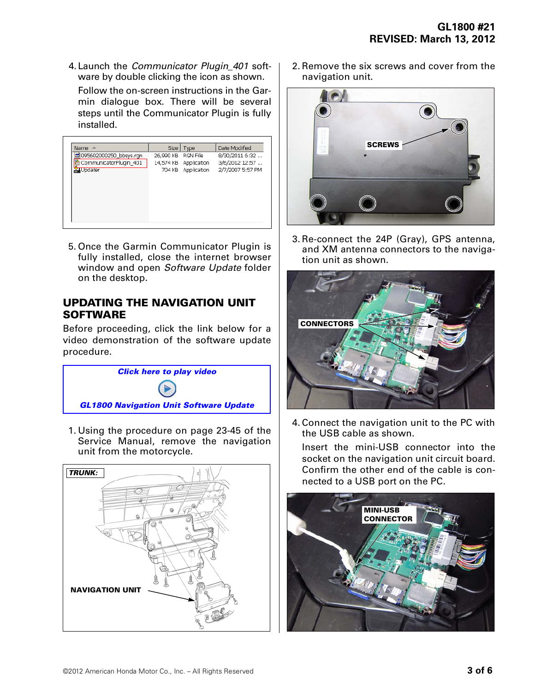4.Launch the *Communicator Plugin\_401* software by double clicking the icon as shown.

Follow the on-screen instructions in the Garmin dialogue box. There will be several steps until the Communicator Plugin is fully installed.

| Name $\triangle$          | Size I    | Type                  | Date Modified    |
|---------------------------|-----------|-----------------------|------------------|
| खी 095602000250_bbsys.rqn | 26,990 KB | RGN File              | 8/30/2011 6:32   |
| d CommunicatorPlugin_401  |           | 14,574 KB Application | 3/6/2012 12:57   |
| <b>You Updater</b>        |           | 704 KB Application    | 2/7/2007 5:57 PM |
|                           |           |                       |                  |
|                           |           |                       |                  |
|                           |           |                       |                  |
|                           |           |                       |                  |
|                           |           |                       |                  |
|                           |           |                       |                  |
|                           |           |                       |                  |

5.Once the Garmin Communicator Plugin is fully installed, close the internet browser window and open *Software Update* folder on the desktop.

# **UPDATING THE NAVIGATION UNIT SOFTWARE**

Before proceeding, click the link below for a video demonstration of the software update procedure.



1.Using the procedure on page 23-45 of the Service Manual, remove the navigation unit from the motorcycle.



2.Remove the six screws and cover from the navigation unit.



3.Re-connect the 24P (Gray), GPS antenna, and XM antenna connectors to the navigation unit as shown.



4.Connect the navigation unit to the PC with the USB cable as shown.

Insert the mini-USB connector into the socket on the navigation unit circuit board. Confirm the other end of the cable is connected to a USB port on the PC.

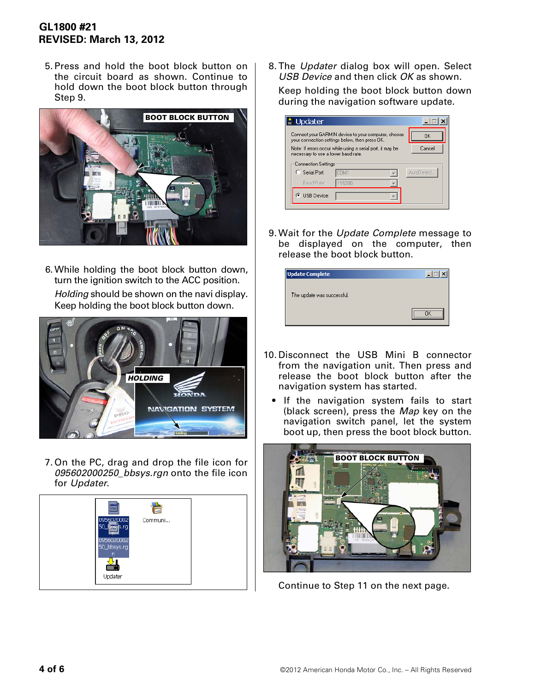# **GL1800 #21 REVISED: March 13, 2012**

5.Press and hold the boot block button on the circuit board as shown. Continue to hold down the boot block button through Step 9.



6.While holding the boot block button down, turn the ignition switch to the ACC position. *Holding* should be shown on the navi display. Keep holding the boot block button down.



7.On the PC, drag and drop the file icon for *095602000250\_bbsys.rgn* onto the file icon for *Updater*.



8.The *Updater* dialog box will open. Select *USB Device* and then click *OK* as shown. Keep holding the boot block button down during the navigation software update.

| Updater                             |                                                                                                       |            |
|-------------------------------------|-------------------------------------------------------------------------------------------------------|------------|
|                                     | Connect your GARMIN device to your computer, choose<br>your connection settings below, then press OK. | ΩK         |
| necessary to use a lower baud rate. | Note: If errors occur while using a serial port, it may be                                            | Cancel     |
| <b>Connection Settings</b>          |                                                                                                       |            |
| C Serial Port:                      | COM1                                                                                                  | AutoDetect |
| Baud Rate:                          | 115200                                                                                                |            |
| ় USB Device:                       |                                                                                                       |            |
|                                     |                                                                                                       |            |

9.Wait for the *Update Complete* message to be displayed on the computer, then release the boot block button.

| <b>Update Complete</b>     |                       |
|----------------------------|-----------------------|
|                            |                       |
| The update was successful. |                       |
|                            |                       |
|                            | ,,,,,,,,,,,,,,,,,,,,, |

- 10.Disconnect the USB Mini B connector from the navigation unit. Then press and release the boot block button after the navigation system has started.
	- If the navigation system fails to start (black screen), press the *Map* key on the navigation switch panel, let the system boot up, then press the boot block button.



Continue to Step 11 on the next page.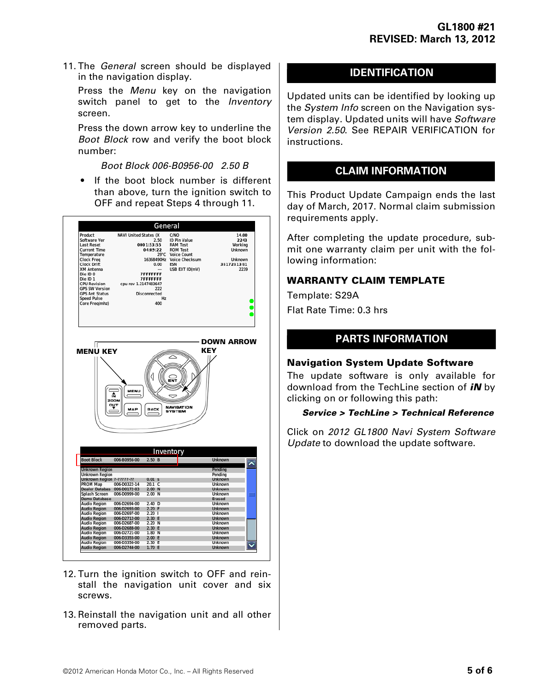11.The *General* screen should be displayed in the navigation display.

Press the *Menu* key on the navigation switch panel to get to the *Inventory* screen.

Press the down arrow key to underline the *Boot Block* row and verify the boot block number:

*Boot Block 006-B0956-00 2.50 B*

• If the boot block number is different than above, turn the ignition switch to OFF and repeat Steps 4 through 11.

|                                                                                                                                                                                                                                               |                                                                                                                               | General                     |                                                                                                                                               |                                                                      |
|-----------------------------------------------------------------------------------------------------------------------------------------------------------------------------------------------------------------------------------------------|-------------------------------------------------------------------------------------------------------------------------------|-----------------------------|-----------------------------------------------------------------------------------------------------------------------------------------------|----------------------------------------------------------------------|
| Product<br>Software Ver<br>Last Reset<br><b>Current Time</b><br>Temperature<br>Clock Freq<br>Clock Drift<br>XM Antenna<br>Die ID <sub>0</sub><br>Die ID <sub>1</sub><br><b>CPU Revision</b><br><b>GPS SW Version</b><br><b>GPS Ant Status</b> | NAVI United States (X<br>0001:53:55<br>04:09:22<br><b>7FFFFFFF</b><br><b>7FFFFFFF</b><br>cpu rev 1.2147483647<br>Disconnected | 2.50<br>29°C<br>0.00<br>222 | C/NO<br><b>ID Pin Value</b><br><b>RAM Test</b><br><b>ROM Test</b><br>Voice Count<br>16368490Hz Voice Checksum<br><b>FSN</b><br>USB EXT ID(mV) | 14.00<br>2243<br>Working<br>Unknown<br>Unknown<br>3817281381<br>2239 |
| <b>Speed Pulse</b><br>Core Freq(mhz)                                                                                                                                                                                                          |                                                                                                                               | Hz<br>400                   |                                                                                                                                               |                                                                      |
|                                                                                                                                                                                                                                               |                                                                                                                               |                             |                                                                                                                                               |                                                                      |
| I٢                                                                                                                                                                                                                                            |                                                                                                                               |                             |                                                                                                                                               | <b>DOWN ARROW</b>                                                    |
| <b>MENU KEY</b>                                                                                                                                                                                                                               |                                                                                                                               |                             |                                                                                                                                               | KEY                                                                  |
|                                                                                                                                                                                                                                               |                                                                                                                               |                             |                                                                                                                                               |                                                                      |
|                                                                                                                                                                                                                                               |                                                                                                                               |                             |                                                                                                                                               |                                                                      |
|                                                                                                                                                                                                                                               |                                                                                                                               |                             |                                                                                                                                               |                                                                      |
|                                                                                                                                                                                                                                               |                                                                                                                               |                             |                                                                                                                                               |                                                                      |
|                                                                                                                                                                                                                                               |                                                                                                                               |                             |                                                                                                                                               |                                                                      |
|                                                                                                                                                                                                                                               | <b>MENU</b>                                                                                                                   |                             |                                                                                                                                               |                                                                      |
|                                                                                                                                                                                                                                               | ŵ                                                                                                                             |                             |                                                                                                                                               |                                                                      |
|                                                                                                                                                                                                                                               | ZOOM                                                                                                                          |                             |                                                                                                                                               |                                                                      |
|                                                                                                                                                                                                                                               | וטס                                                                                                                           |                             | <b>NAVIGATION</b>                                                                                                                             |                                                                      |
|                                                                                                                                                                                                                                               | <b>BACK</b>                                                                                                                   |                             | SYSTEM                                                                                                                                        |                                                                      |
|                                                                                                                                                                                                                                               |                                                                                                                               |                             |                                                                                                                                               |                                                                      |
|                                                                                                                                                                                                                                               |                                                                                                                               |                             |                                                                                                                                               |                                                                      |
|                                                                                                                                                                                                                                               |                                                                                                                               |                             |                                                                                                                                               |                                                                      |
|                                                                                                                                                                                                                                               |                                                                                                                               |                             |                                                                                                                                               |                                                                      |
|                                                                                                                                                                                                                                               |                                                                                                                               |                             |                                                                                                                                               |                                                                      |
|                                                                                                                                                                                                                                               |                                                                                                                               |                             |                                                                                                                                               |                                                                      |
|                                                                                                                                                                                                                                               |                                                                                                                               |                             | Inventory                                                                                                                                     |                                                                      |
| <b>Boot Block</b>                                                                                                                                                                                                                             | 006-B0956-00<br>2.50B                                                                                                         |                             |                                                                                                                                               | <b>Unknown</b>                                                       |
| Unknown Region                                                                                                                                                                                                                                |                                                                                                                               |                             |                                                                                                                                               | Pending                                                              |
| Unknown Region                                                                                                                                                                                                                                |                                                                                                                               |                             |                                                                                                                                               | Pending                                                              |
| Unknown Region ?-?????-??                                                                                                                                                                                                                     | $0.01$ s<br>20.1 <sub>C</sub><br>006-D0322-14                                                                                 |                             |                                                                                                                                               | Unknown<br>Unknown                                                   |
| PROM Map<br><b>Dealer Databas</b>                                                                                                                                                                                                             | 006-D0172-03<br>2.00 <sub>N</sub>                                                                                             |                             |                                                                                                                                               | Unknown                                                              |
| Splash Screen                                                                                                                                                                                                                                 | 006-D0999-00<br>2.00 N                                                                                                        |                             |                                                                                                                                               | Unknown                                                              |
| Demo Database                                                                                                                                                                                                                                 |                                                                                                                               |                             |                                                                                                                                               | Erased                                                               |
| <b>Audio Region</b>                                                                                                                                                                                                                           | 2.40 <sub>D</sub><br>006-D2694-00                                                                                             |                             |                                                                                                                                               | Unknown                                                              |
| <b>Audio Region</b>                                                                                                                                                                                                                           | 006-D2693-00<br>2.20 F                                                                                                        |                             |                                                                                                                                               | Unknown                                                              |
| Audio Region                                                                                                                                                                                                                                  | $2.20$  <br>006-D2697-00<br>006-D2712-00                                                                                      |                             |                                                                                                                                               | Unknown<br>Unknown                                                   |
| <b>Audio Region</b><br>Audio Region                                                                                                                                                                                                           | 2.30 E<br>006-D2687-00<br>2.20 N                                                                                              |                             |                                                                                                                                               | Unknown                                                              |
| <b>Audio Region</b>                                                                                                                                                                                                                           | 006-D2688-00<br>2.30 E                                                                                                        |                             |                                                                                                                                               | <b>Unknown</b>                                                       |
| Audio Region                                                                                                                                                                                                                                  | 1.80 N<br>006-D2721-00                                                                                                        |                             |                                                                                                                                               | Unknown                                                              |
| <b>Audio Region</b>                                                                                                                                                                                                                           | 2.00 E<br>006-D3355-00                                                                                                        |                             |                                                                                                                                               | Unknown                                                              |
| Audio Region<br><b>Audio Region</b>                                                                                                                                                                                                           | 2.30 E<br>006-D3356-00<br>006-D2744-00<br>1.70 E                                                                              |                             |                                                                                                                                               | Unknown<br>Unknown                                                   |

- 12.Turn the ignition switch to OFF and reinstall the navigation unit cover and six screws.
- 13.Reinstall the navigation unit and all other removed parts.

# **IDENTIFICATION**

Updated units can be identified by looking up the *System Info* screen on the Navigation system display. Updated units will have *Software Version 2.50*. See REPAIR VERIFICATION for instructions.

# **CLAIM INFORMATION**

This Product Update Campaign ends the last day of March, 2017. Normal claim submission requirements apply.

After completing the update procedure, submit one warranty claim per unit with the following information:

## **WARRANTY CLAIM TEMPLATE**

Template: S29A Flat Rate Time: 0.3 hrs

# **PARTS INFORMATION**

## **Navigation System Update Software**

The update software is only available for download from the TechLine section of *iN* by clicking on or following this path:

## *Service > TechLine > Technical Reference*

Click on *2012 GL1800 Navi System Software Update* to download the update software.